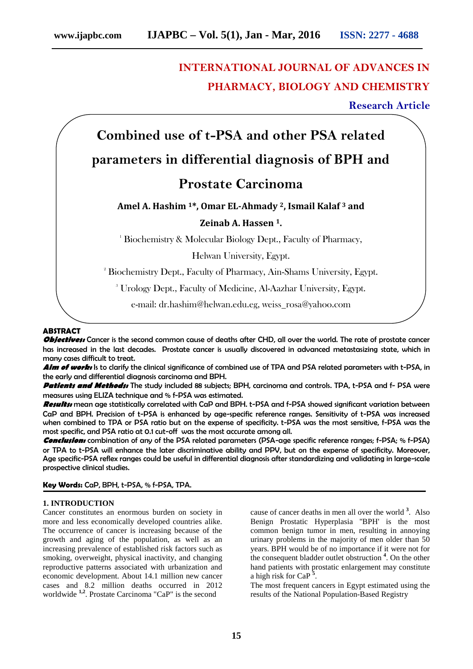# **INTERNATIONAL JOURNAL OF ADVANCES IN PHARMACY, BIOLOGY AND CHEMISTRY**

# **Research Article**

# **Combined use of t-PSA and other PSA related parameters in differential diagnosis of BPH and**

# **Prostate Carcinoma**

# **Amel A. Hashim <sup>1</sup>\*, Omar EL-Ahmady <sup>2</sup>, Ismail Kalaf <sup>3</sup> and**

# **Zeinab A. Hassen <sup>1</sup>.**

<sup>1</sup> Biochemistry & Molecular Biology Dept., Faculty of Pharmacy,

Helwan University, Egypt.

<sup>2</sup> Biochemistry Dept., Faculty of Pharmacy, Ain-Shams University, Egypt.

<sup>3</sup> Urology Dept., Faculty of Medicine, Al-Aazhar University, Egypt.

e-mail: dr.hashim@helwan.edu.eg, weiss\_rosa@yahoo.com

### **ABSTRACT**

**Objectives:** Cancer is the second common cause of deaths after CHD, all over the world. The rate of prostate cancer has increased in the last decades. Prostate cancer is usually discovered in advanced metastasizing state, which in many cases difficult to treat.

Aim of work: Is to clarify the clinical significance of combined use of TPA and PSA related parameters with t-PSA, in the early and differential diagnosis carcinoma and BPH.

*Patients and Methods:* The study included 88 subjects; BPH, carcinoma and controls. TPA, t-PSA and f- PSA were measures using ELIZA technique and % f-PSA was estimated.

*Results:* mean age statistically correlated with CaP and BPH. t-PSA and f-PSA showed significant variation between CaP and BPH. Precision of t-PSA is enhanced by age-specific reference ranges. Sensitivity of t-PSA was increased when combined to TPA or PSA ratio but on the expense of specificity. t-PSA was the most sensitive, f-PSA was the most specific, and PSA ratio at 0.1 cut-off was the most accurate among all.

*Conclusion:* combination of any of the PSA related parameters (PSA-age specific reference ranges; f-PSA; % f-PSA) or TPA to t-PSA will enhance the later discriminative ability and PPV, but on the expense of specificity. Moreover, Age specific-PSA reflex ranges could be useful in differential diagnosis after standardizing and validating in large-scale prospective clinical studies.

# **Key Words:** CaP, BPH, t-PSA, % f-PSA, TPA.

# **1. INTRODUCTION**

Cancer constitutes an enormous burden on society in more and less economically developed countries alike. The occurrence of cancer is increasing because of the growth and aging of the population, as well as an increasing prevalence of established risk factors such as smoking, overweight, physical inactivity, and changing reproductive patterns associated with urbanization and economic development. About 14.1 million new cancer cases and 8.2 million deaths occurred in 2012 worldwide **1,2** . Prostate Carcinoma "CaP" is the second

cause of cancer deaths in men all over the world **<sup>3</sup>** . Also Benign Prostatic Hyperplasia ''BPH' is the most common benign tumor in men, resulting in annoying urinary problems in the majority of men older than 50 years. BPH would be of no importance if it were not for the consequent bladder outlet obstruction **<sup>4</sup>** . On the other hand patients with prostatic enlargement may constitute a high risk for CaP **<sup>5</sup>** .

The most frequent cancers in Egypt estimated using the results of the National Population-Based Registry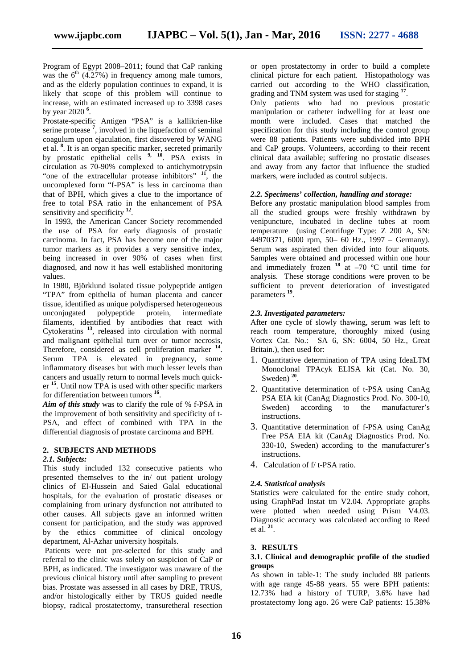Program of Egypt 2008–2011; found that CaP ranking was the  $6<sup>th</sup>$  (4.27%) in frequency among male tumors, and as the elderly population continues to expand, it is likely that scope of this problem will continue to increase, with an estimated increased up to 3398 cases by year 2020 **<sup>6</sup>** .

Prostate-specific Antigen "PSA" is a kallikrien-like serine protease **<sup>7</sup>** , involved in the liquefaction of seminal coagulum upon ejaculation, first discovered by WANG et al. **<sup>8</sup>** . It is an organ specific marker, secreted primarily by prostatic epithelial cells **9, <sup>10</sup>**. PSA exists in circulation as 70-90% complexed to antichymotrypsin "one of the extracellular protease inhibitors"  $\frac{11}{1}$ , the uncomplexed form "f-PSA" is less in carcinoma than that of BPH, which gives a clue to the importance of free to total PSA ratio in the enhancement of PSA sensitivity and specificity **<sup>12</sup>** .

In 1993, the American Cancer Society recommended the use of PSA for early diagnosis of prostatic carcinoma. In fact, PSA has become one of the major tumor markers as it provides a very sensitive index, being increased in over 90% of cases when first diagnosed, and now it has well established monitoring values.

In 1980, Björklund isolated tissue polypeptide antigen "TPA" from epithelia of human placenta and cancer tissue, identified as unique polydispersed heterogeneous<br>unconjugated polypeptide protein, intermediate unconjugated polypeptide protein, filaments, identified by antibodies that react with Cytokeratins **<sup>13</sup>** , released into circulation with normal and malignant epithelial turn over or tumor necrosis, Therefore, considered as cell proliferation marker **<sup>14</sup>** . Serum TPA is elevated in pregnancy, some inflammatory diseases but with much lesser levels than cancers and usually return to normal levels much quick er **<sup>15</sup>** . Until now TPA is used with other specific markers for differentiation between tumors **<sup>16</sup>** .

*Aim of this study* was to clarify the role of % f-PSA in the improvement of both sensitivity and specificity of t- PSA, and effect of combined with TPA in the differential diagnosis of prostate carcinoma and BPH.

#### **2. SUBJECTS AND METHODS**

#### *2.1. Subjects:*

This study included 132 consecutive patients who presented themselves to the in/ out patient urology clinics of El-Hussein and Saied Galal educational hospitals, for the evaluation of prostatic diseases or complaining from urinary dysfunction not attributed to other causes. All subjects gave an informed written consent for participation, and the study was approved by the ethics committee of clinical oncology department, Al-Azhar university hospitals.

Patients were not pre-selected for this study and referral to the clinic was solely on suspicion of CaP or BPH, as indicated. The investigator was unaware of the previous clinical history until after sampling to prevent bias. Prostate was assessed in all cases by DRE, TRUS, and/or histologically either by TRUS guided needle biopsy, radical prostatectomy, transuretheral resection

or open prostatectomy in order to build a complete clinical picture for each patient. Histopathology was carried out according to the WHO classification, grading and TNM system was used for staging **<sup>17</sup>** .

Only patients who had no previous prostatic manipulation or catheter indwelling for at least one month were included. Cases that matched the specification for this study including the control group were 88 patients. Patients were subdivided into BPH and CaP groups. Volunteers, according to their recent clinical data available; suffering no prostatic diseases and away from any factor that influence the studied markers, were included as control subjects.

#### *2.2. Specimens' collection, handling and storage:*

Before any prostatic manipulation blood samples from all the studied groups were freshly withdrawn by venipuncture, incubated in decline tubes at room temperature (using Centrifuge Type: Z 200 A, SN: 44970371, 6000 rpm, 50– 60 Hz., 1997 – Germany). Serum was aspirated then divided into four aliquots. Samples were obtained and processed within one hour and immediately frozen <sup>18</sup> at –70 °C until time for analysis. These storage conditions were proven to be sufficient to prevent deterioration of investigated parameters **<sup>19</sup>** .

#### *2.3. Investigated parameters:*

After one cycle of slowly thawing, serum was left to reach room temperature, thoroughly mixed (using Vortex Cat. No.: SA 6, SN: 6004, 50 Hz., Great Britain.), then used for:

- 1. Quantitative determination of TPA using IdeaLTM Monoclonal TPAcyk ELISA kit (Cat. No. 30, Sweden)<sup>20</sup>.
- 2. Quantitative determination of t-PSA using CanAg PSA EIA kit (CanAg Diagnostics Prod. No. 300-10, Sweden) according to the manufacturer's instructions.
- 3. Quantitative determination of f-PSA using CanAg Free PSA EIA kit (CanAg Diagnostics Prod. No. 330-10, Sweden) according to the manufacturer's instructions.
- 4. Calculation of f/ t-PSA ratio.

#### *2.4. Statistical analysis*

Statistics were calculated for the entire study cohort, using GraphPad Instat tm V2.04. Appropriate graphs were plotted when needed using Prism V4.03. Diagnostic accuracy was calculated according to Reed et al. **<sup>21</sup>** .

#### **3. RESULTS**

#### **3.1. Clinical and demographic profile of the studied groups**

As shown in table-1: The study included 88 patients with age range 45-88 years. 55 were BPH patients: 12.73% had a history of TURP, 3.6% have had prostatectomy long ago. 26 were CaP patients: 15.38%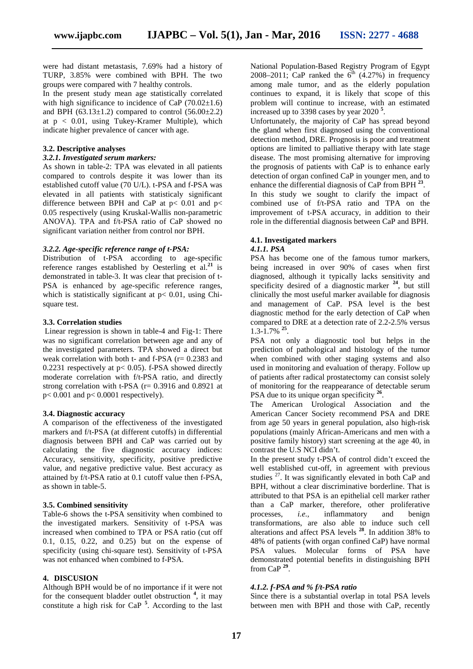were had distant metastasis, 7.69% had a history of TURP, 3.85% were combined with BPH. The two groups were compared with 7 healthy controls.

In the present study mean age statistically correlated with high significance to incidence of CaP  $(70.02 \pm 1.6)$ and BPH (63.13 $\pm$ 1.2) compared to control (56.00 $\pm$ 2.2) at  $p < 0.01$ , using Tukey-Kramer Multiple), which indicate higher prevalence of cancer with age.

#### **3.2. Descriptive analyses**

#### *3.2.1. Investigated serum markers:*

As shown in table-2: TPA was elevated in all patients compared to controls despite it was lower than its established cutoff value (70 U/L). t-PSA and f-PSA was elevated in all patients with statisticaly significant difference between BPH and CaP at  $p$  < 0.01 and  $p$  < 0.05 respectively (using Kruskal-Wallis non-parametric ANOVA). TPA and f/t-PSA ratio of CaP showed no significant variation neither from control nor BPH.

#### *3.2.2. Age-specific reference range of t-PSA:*

Distribution of t-PSA according to age-specific reference ranges established by Oesterling et al.**<sup>21</sup>** is demonstrated in table-3. It was clear that precision of t- PSA is enhanced by age-specific reference ranges, which is statistically significant at  $p < 0.01$ , using Chisquare test.

#### **3.3. Correlation studies**

Linear regression is shown in table-4 and Fig-1: There was no significant correlation between age and any of the investigated parameters. TPA showed a direct but weak correlation with both t- and f-PSA (r= 0.2383 and 0.2231 respectively at  $p < 0.05$ ). f-PSA showed directly moderate correlation with f/t-PSA ratio, and directly strong correlation with t-PSA ( $r= 0.3916$  and 0.8921 at  $p < 0.001$  and  $p < 0.0001$  respectively).

#### **3.4. Diagnostic accuracy**

A comparison of the effectiveness of the investigated markers and f/t-PSA (at different cutoffs) in differential diagnosis between BPH and CaP was carried out by calculating the five diagnostic accuracy indices: Accuracy, sensitivity, specificity, positive predictive value, and negative predictive value. Best accuracy as attained by f/t-PSA ratio at 0.1 cutoff value then f-PSA, as shown in table-5.

#### **3.5. Combined sensitivity**

Table-6 shows the t-PSA sensitivity when combined to processes, the investigated markers. Sensitivity of t-PSA was increased when combined to TPA or PSA ratio (cut off 0.1, 0.15, 0.22, and 0.25) but on the expense of specificity (using chi-square test). Sensitivity of t-PSA was not enhanced when combined to f-PSA.

# **4. DISCUSION**

Although BPH would be of no importance if it were not for the consequent bladder outlet obstruction **<sup>4</sup>** , it may constitute a high risk for CaP **<sup>5</sup>** . According to the last

National Population-Based Registry Program of Egypt 2008–2011; CaP ranked the  $6<sup>th</sup>$  (4.27%) in frequency among male tumor, and as the elderly population continues to expand, it is likely that scope of this problem will continue to increase, with an estimated increased up to 3398 cases by year 2020 **<sup>5</sup>** .

Unfortunately, the majority of CaP has spread beyond the gland when first diagnosed using the conventional detection method, DRE. Prognosis is poor and treatment options are limited to palliative therapy with late stage disease. The most promising alternative for improving the prognosis of patients with CaP is to enhance early detection of organ confined CaP in younger men, and to enhance the differential diagnosis of CaP from BPH **<sup>23</sup>** .

In this study we sought to clarify the impact of combined use of f/t-PSA ratio and TPA on the improvement of t-PSA accuracy, in addition to their role in the differential diagnosis between CaP and BPH.

#### **4.1. Investigated markers**

#### *4.1.1. PSA*

PSA has become one of the famous tumor markers, being increased in over 90% of cases when first diagnosed, although it typically lacks sensitivity and specificity desired of a diagnostic marker **<sup>24</sup>** , but still clinically the most useful marker available for diagnosis and management of CaP. PSA level is the best diagnostic method for the early detection of CaP when compared to DRE at a detection rate of 2.2-2.5% versus 1.3-1.7% **<sup>25</sup>** .

PSA not only a diagnostic tool but helps in the prediction of pathological and histology of the tumor when combined with other staging systems and also used in monitoring and evaluation of therapy. Follow up of patients after radical prostatectomy can consist solely of monitoring for the reappearance of detectable serum PSA due to its unique organ specificity <sup>26</sup>.

The American Urological Association and the American Cancer Society recommend PSA and DRE from age 50 years in general population, also high-risk populations (mainly African-Americans and men with a positive family history) start screening at the age 40, in contrast the U.S NCI didn't.

In the present study t-PSA of control didn't exceed the well established cut-off, in agreement with previous studies  $27$ . It was significantly elevated in both CaP and BPH*,* without a clear discriminative borderline. That is attributed to that PSA is an epithelial cell marker rather than a CaP marker, therefore, other proliferative *i.e.*, inflammatory and benign transformations, are also able to induce such cell alterations and affect PSA levels **<sup>28</sup>** . In addition 38% to 48% of patients (with organ confined CaP) have normal PSA values. Molecular forms of PSA have demonstrated potential benefits in distinguishing BPH from CaP  $^{29}$ .

#### *4.1.2. f-PSA and % f/t-PSA ratio*

Since there is a substantial overlap in total PSA levels between men with BPH and those with CaP, recently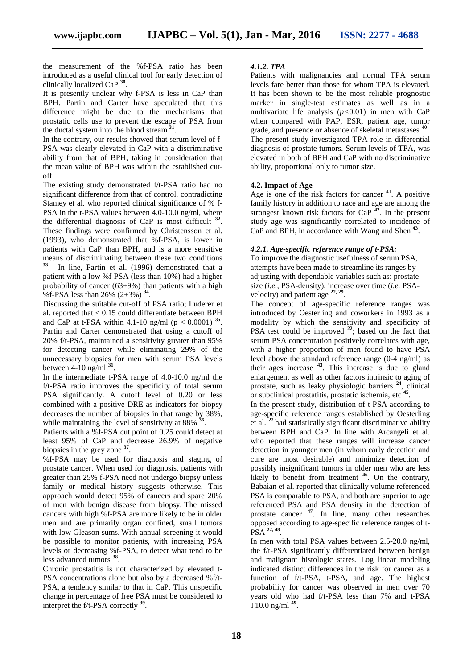the measurement of the %f-PSA ratio has been introduced as a useful clinical tool for early detection of clinically localized CaP **<sup>30</sup>** .

It is presently unclear why f-PSA is less in CaP than BPH. Partin and Carter have speculated that this difference might be due to the mechanisms that prostatic cells use to prevent the escape of PSA from the ductal system into the blood stream **<sup>31</sup>** .

In the contrary, our results showed that serum level of f- PSA was clearly elevated in CaP with a discriminative ability from that of BPH, taking in consideration that the mean value of BPH was within the established cut off.

The existing study demonstrated f/t-PSA ratio had no significant difference from that of control, contradicting Stamey et al. who reported clinical significance of % f- PSA in the t-PSA values between 4.0-10.0 ng/ml, where the differential diagnosis of CaP is most difficult **<sup>32</sup>** . These findings were confirmed by Christensson et al. (1993), who demonstrated that %f-PSA, is lower in patients with CaP than BPH, and is a more sensitive means of discriminating between these two conditions **33** . In line, Partin et al. (1996) demonstrated that a patient with a low %f-PSA (less than 10%) had a higher probability of cancer  $(63±9%)$  than patients with a high %f-PSA less than 26% (2±3%) **<sup>34</sup>** .

Discussing the suitable cut-off of PSA ratio; Luderer et al. reported that 0.15 could differentiate between BPH and CaP at t-PSA within 4.1-10 ng/ml ( $p < 0.0001$ )<sup>35</sup>. Partin and Carter demonstrated that using a cutoff of 20% f/t-PSA, maintained a sensitivity greater than 95% for detecting cancer while eliminating 29% of the unnecessary biopsies for men with serum PSA levels between 4-10 ng/ml **<sup>31</sup>** .

In the intermediate t-PSA range of 4.0-10.0 ng/ml the f/t-PSA ratio improves the specificity of total serum PSA significantly. A cutoff level of 0.20 or less combined with a positive DRE as indicators for biopsy decreases the number of biopsies in that range by 38%, while maintaining the level of sensitivity at 88% **<sup>36</sup>** .

Patients with a %f-PSA cut point of 0.25 could detect at least 95% of CaP and decrease 26.9% of negative biopsies in the grey zone **<sup>37</sup>** .

%f-PSA may be used for diagnosis and staging of prostate cancer. When used for diagnosis, patients with greater than 25% f-PSA need not undergo biopsy unless family or medical history suggests otherwise. This approach would detect 95% of cancers and spare 20% of men with benign disease from biopsy. The missed cancers with high %f-PSA are more likely to be in older men and are primarily organ confined, small tumors with low Gleason sums. With annual screening it would be possible to monitor patients, with increasing PSA levels or decreasing %f-PSA, to detect what tend to be less advanced tumors **<sup>38</sup>** .

Chronic prostatitis is not characterized by elevated t- PSA concentrations alone but also by a decreased %f/t- PSA, a tendency similar to that in CaP. This unspecific change in percentage of free PSA must be considered to interpret the f/t-PSA correctly **<sup>39</sup>** .

#### *4.1.2. TPA*

Patients with malignancies and normal TPA serum levels fare better than those for whom TPA is elevated. It has been shown to be the most reliable prognostic marker in single-test estimates as well as in a multivariate life analysis (*p<*0.01) in men with CaP when compared with PAP, ESR, patient age, tumor grade, and presence or absence of skeletal metastases **<sup>40</sup>** . The present study investigated TPA role in differential diagnosis of prostate tumors. Serum levels of TPA, was elevated in both of BPH and CaP with no discriminative ability, proportional only to tumor size.

#### **4.2. Impact of Age**

Age is one of the risk factors for cancer **<sup>41</sup>** . A positive family history in addition to race and age are among the strongest known risk factors for CaP  $\frac{42}{1}$ . In the present study age was significantly correlated to incidence of CaP and BPH, in accordance with Wang and Shen **<sup>43</sup>** .

#### *4.2.1. Age-specific reference range of t-PSA:*

To improve the diagnostic usefulness of serum PSA, attempts have been made to streamline its ranges by adjusting with dependable variables such as: prostate size (*i.e.,* PSA-density), increase over time (*i.e.* PSA velocity) and patient age **22, 29** .

The concept of age-specific reference ranges was introduced by Oesterling and coworkers in 1993 as a modality by which the sensitivity and specificity of PSA test could be improved **<sup>22</sup>** ; based on the fact that serum PSA concentration positively correlates with age, with a higher proportion of men found to have PSA level above the standard reference range (0-4 ng/ml) as their ages increase **<sup>43</sup>** .This increase is due to gland enlargement as well as other factors intrinsic to aging of prostate, such as leaky physiologic barriers **<sup>24</sup>**, clinical or subclinical prostatitis*,* prostatic ischemia, etc **<sup>45</sup>** .

In the present study, distribution of t-PSA according to age-specific reference ranges established by Oesterling et al. **<sup>22</sup>** had statistically significant discriminative ability between BPH and CaP. In line with Arcangeli et al. who reported that these ranges will increase cancer detection in younger men (in whom early detection and cure are most desirable) and minimize detection of possibly insignificant tumors in older men who are less likely to benefit from treatment **<sup>46</sup>** . On the contrary, Babaian et al. reported that clinically volume referenced PSA is comparable to PSA, and both are superior to age referenced PSA and PSA density in the detection of prostate cancer **<sup>47</sup>** . In line, many other researches opposed according to age-specific reference ranges of t- PSA **22, 48** .

In men with total PSA values between 2.5-20.0 ng/ml, the f/t-PSA significantly differentiated between benign and malignant histologic states. Log linear modeling indicated distinct differences in the risk for cancer as a function of f/t-PSA, t-PSA, and age. The highest probability for cancer was observed in men over 70 years old who had f/t-PSA less than 7% and t-PSA 10.0 ng/ml **<sup>49</sup>** .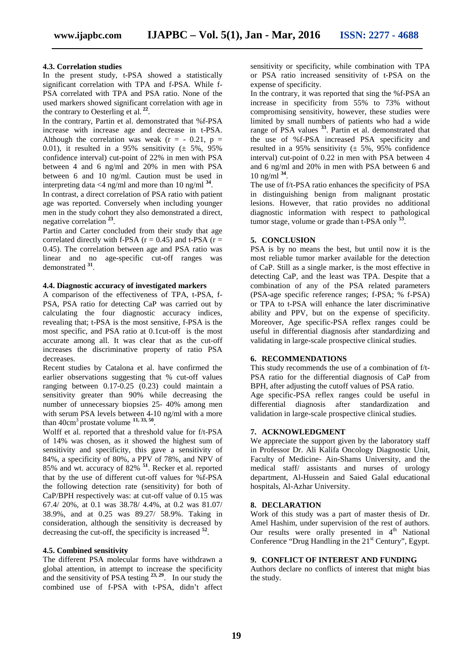### **4.3. Correlation studies**

In the present study, t-PSA showed a statistically significant correlation with TPA and f-PSA. While f- PSA correlated with TPA and PSA ratio. None of the used markers showed significant correlation with age in the contrary to Oesterling et al. **<sup>22</sup>** .

In the contrary, Partin et al. demonstrated that %f-PSA increase with increase age and decrease in t-PSA. Although the correlation was weak ( $r = -0.21$ ,  $p =$ 0.01), it resulted in a 95% sensitivity  $(\pm 5\%, 95\%)$ confidence interval) cut-point of 22% in men with PSA between 4 and 6 ng/ml and 20% in men with PSA between 6 and 10 ng/ml. Caution must be used in interpreting data  $\leq 4$  ng/ml and more than 10 ng/ml <sup>34</sup>. .

In contrast, a direct correlation of PSA ratio with patient age was reported. Conversely when including younger men in the study cohort they also demonstrated a direct, negative correlation **<sup>23</sup>** .

Partin and Carter concluded from their study that age correlated directly with f-PSA ( $r = 0.45$ ) and t-PSA ( $r =$ 0.45). The correlation between age and PSA ratio was linear and no age-specific cut-off ranges was demonstrated **<sup>31</sup>** .

#### **4.4. Diagnostic accuracy of investigated markers**

A comparison of the effectiveness of TPA, t-PSA, f- PSA, PSA ratio for detecting CaP was carried out by calculating the four diagnostic accuracy indices, revealing that; t-PSA is the most sensitive, f-PSA is the most specific, and PSA ratio at 0.1cut-off is the most accurate among all. It was clear that as the cut-off increases the discriminative property of ratio PSA decreases.

Recent studies by Catalona et al. have confirmed the earlier observations suggesting that % cut-off values ranging between 0.17-0.25 (0.23) could maintain a sensitivity greater than 90% while decreasing the number of unnecessary biopsies 25- 40% among men with serum PSA levels between 4-10 ng/ml with a more than  $40 \text{cm}^3$  prostate volume  $11, 33, 50$ .

Wolff et al. reported that a threshold value for f/t-PSA of 14% was chosen, as it showed the highest sum of sensitivity and specificity, this gave a sensitivity of 84%, a specificity of 80%, a PPV of 78%, and NPV of 85% and wt. accuracy of 82% **<sup>51</sup>** . Recker et al. reported that by the use of different cut-off values for %f-PSA the following detection rate (sensitivity) for both of CaP/BPH respectively was: at cut-off value of 0.15 was 67.4/ 20%, at 0.1 was 38.78/ 4.4%, at 0.2 was 81.07/ 38.9%, and at 0.25 was 89.27/ 58.9%. Taking in consideration, although the sensitivity is decreased by decreasing the cut-off, the specificity is increased **<sup>52</sup>** .

#### **4.5. Combined sensitivity**

The different PSA molecular forms have withdrawn a global attention, in attempt to increase the specificity and the sensitivity of PSA testing **23, 29** . In our study the combined use of f-PSA with t-PSA, didn't affect

sensitivity or specificity, while combination with TPA or PSA ratio increased sensitivity of t-PSA on the expense of specificity.

In the contrary, it was reported that sing the %f-PSA an increase in specificity from 55% to 73% without compromising sensitivity, however, these studies were limited by small numbers of patients who had a wide range of PSA values **<sup>33</sup>** . Partin et al. demonstrated that the use of %f-PSA increased PSA specificity and resulted in a 95% sensitivity  $(\pm 5\% , 95\% )$  confidence interval) cut-point of 0.22 in men with PSA between 4 and 6 ng/ml and 20% in men with PSA between 6 and 10 ng/ml **<sup>34</sup>** .

The use of f/t-PSA ratio enhances the specificity of PSA in distinguishing benign from malignant prostatic lesions. However, that ratio provides no additional diagnostic information with respect to pathological tumor stage, volume or grade than t-PSA only **<sup>53</sup>** .

### **5. CONCLUSION**

PSA is by no means the best, but until now it is the most reliable tumor marker available for the detection of CaP. Still as a single marker, is the most effective in detecting CaP, and the least was TPA. Despite that a combination of any of the PSA related parameters (PSA-age specific reference ranges; f-PSA; % f-PSA) or TPA to t-PSA will enhance the later discriminative ability and PPV, but on the expense of specificity. Moreover, Age specific-PSA reflex ranges could be useful in differential diagnosis after standardizing and validating in large-scale prospective clinical studies.

#### **6. RECOMMENDATIONS**

This study recommends the use of a combination of f/t- PSA ratio for the differential diagnosis of CaP from BPH, after adjusting the cutoff values of PSA ratio.

Age specific-PSA reflex ranges could be useful in differential diagnosis after standardization and validation in large-scale prospective clinical studies.

#### **7. ACKNOWLEDGMENT**

We appreciate the support given by the laboratory staff in Professor Dr. Ali Kalifa Oncology Diagnostic Unit, Faculty of Medicine- Ain-Shams University, and the medical staff/ assistants and nurses of urology department, Al-Hussein and Saied Galal educational hospitals, Al-Azhar University.

#### **8. DECLARATION**

Work of this study was a part of master thesis of Dr. Amel Hashim, under supervision of the rest of authors. Our results were orally presented in  $4<sup>th</sup>$  National Conference "Drug Handling in the  $21<sup>st</sup>$  Century", Egypt.

#### **9. CONFLICT OF INTEREST AND FUNDING**

Authors declare no conflicts of interest that might bias the study.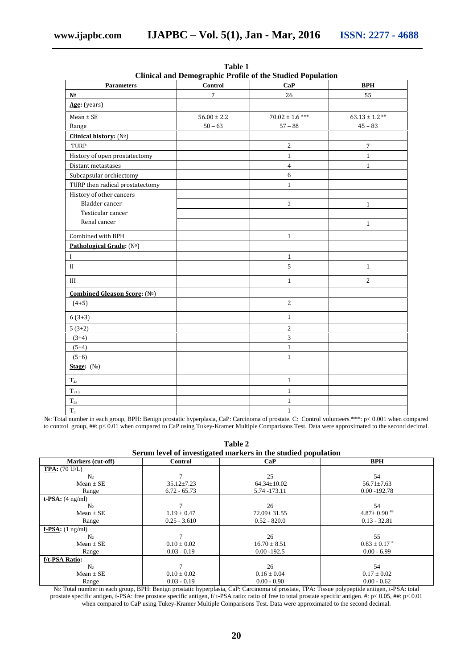| <b>Parameters</b>               | Control         | Clinical and Demographic Profile of the Studied Population<br>CaP | <b>BPH</b>         |
|---------------------------------|-----------------|-------------------------------------------------------------------|--------------------|
| N <sub>2</sub>                  | $\overline{7}$  | 26                                                                | 55                 |
| Age: (years)                    |                 |                                                                   |                    |
| $Mean \pm SE$                   | $56.00 \pm 2.2$ | $70.02 \pm 1.6$ ***                                               | $63.13 \pm 1.2$ ## |
| Range                           | $50 - 63$       | $57 - 88$                                                         | $45 - 83$          |
| Clinical history: (Nº)          |                 |                                                                   |                    |
| TURP                            |                 | $\sqrt{2}$                                                        | $\overline{7}$     |
| History of open prostatectomy   |                 | $\mathbf{1}$                                                      | $\mathbf{1}$       |
| Distant metastases              |                 | $\overline{4}$                                                    | $\mathbf{1}$       |
| Subcapsular orchiectomy         |                 | 6                                                                 |                    |
| TURP then radical prostatectomy |                 | $\mathbf{1}$                                                      |                    |
| History of other cancers        |                 |                                                                   |                    |
| Bladder cancer                  |                 | $\sqrt{2}$                                                        | $\mathbf{1}$       |
| Testicular cancer               |                 |                                                                   |                    |
| Renal cancer                    |                 |                                                                   | $\mathbf{1}$       |
| Combined with BPH               |                 | $\mathbf{1}$                                                      |                    |
| Pathological Grade: (Nº)        |                 |                                                                   |                    |
| $\mathbf I$                     |                 | $\mathbf{1}$                                                      |                    |
| $_{\rm II}$                     |                 | 5                                                                 | $\mathbf{1}$       |
| III                             |                 | $1\,$                                                             | 2                  |
| Combined Gleason Score: (Nº)    |                 |                                                                   |                    |
| $(4+5)$                         |                 | $\overline{2}$                                                    |                    |
| $6(3+3)$                        |                 | $\mathbf{1}$                                                      |                    |
| $5(3+2)$                        |                 | $\overline{2}$                                                    |                    |
| $(3+4)$                         |                 | $\mathfrak{Z}$                                                    |                    |
| $(5+4)$                         |                 | $\,1\,$                                                           |                    |
| $(5+6)$                         |                 | $\mathbf{1}$                                                      |                    |
| Stage: $( )$                    |                 |                                                                   |                    |
| $T_{4a}$                        |                 | $\mathbf{1}$                                                      |                    |
| $T_{2+3}$                       |                 | $\mathbf{1}$                                                      |                    |
| $T_{3a}$                        |                 | $\mathbf{1}$                                                      |                    |
| $T_3$                           |                 | $\mathbf{1}$                                                      |                    |

**Table 1 Clinical and Demographic Profile of the Studied Population**

№: Total number in each group, BPH: Benign prostatic hyperplasia, CaP: Carcinoma of prostate. C: Control volunteers.\*\*\*: p< 0.001 when compared to control group, ##: p< 0.01 when compared to CaP using Tukey-Kramer Multiple Comparisons Test. Data were approximated to the second decimal.

| Table 2                                                       |  |
|---------------------------------------------------------------|--|
| Serum level of investigated markers in the studied population |  |

|                                |                  | berum icycl of investigated markers in the studied population |                              |  |  |  |  |
|--------------------------------|------------------|---------------------------------------------------------------|------------------------------|--|--|--|--|
| Markers (cut-off)              | Control          | CaP                                                           | <b>BPH</b>                   |  |  |  |  |
| <b>TPA:</b> $(70 \text{ U/L})$ |                  |                                                               |                              |  |  |  |  |
|                                |                  | 25                                                            | 54                           |  |  |  |  |
| Mean $\pm$ SE                  | $35.12 \pm 7.23$ | $64.34 \pm 10.02$                                             | $56.71 \pm 7.63$             |  |  |  |  |
| Range                          | $6.72 - 65.73$   | 5.74 - 173.11                                                 | $0.00 - 192.78$              |  |  |  |  |
| $t$ -PSA: $(4 \text{ ng/ml})$  |                  |                                                               |                              |  |  |  |  |
|                                |                  | 26                                                            | 54                           |  |  |  |  |
| Mean $\pm$ SE                  | $1.19 \pm 0.47$  | $72.09 \pm 31.55$                                             | $4.87 \pm 0.90$ ##           |  |  |  |  |
| Range                          | $0.25 - 3.610$   | $0.52 - 820.0$                                                | $0.13 - 32.81$               |  |  |  |  |
| $f-PSA$ : $(1 \text{ ng/ml})$  |                  |                                                               |                              |  |  |  |  |
|                                |                  | 26                                                            | 55                           |  |  |  |  |
| Mean $\pm$ SE                  | $0.10 \pm 0.02$  | $16.70 \pm 8.51$                                              | $0.83 \pm 0.17$ <sup>#</sup> |  |  |  |  |
| Range                          | $0.03 - 0.19$    | $0.00 - 192.5$                                                | $0.00 - 6.99$                |  |  |  |  |
| f/t-PSA Ratio:                 |                  |                                                               |                              |  |  |  |  |
|                                |                  | 26                                                            | 54                           |  |  |  |  |
| Mean $\pm$ SE                  | $0.10 \pm 0.02$  | $0.16 \pm 0.04$                                               | $0.17 \pm 0.02$              |  |  |  |  |
| Range                          | $0.03 - 0.19$    | $0.00 - 0.90$                                                 | $0.00 - 0.62$                |  |  |  |  |

№: Total number in each group, BPH: Benign prostatic hyperplasia, CaP: Carcinoma of prostate, TPA: Tissue polypeptide antigen, t-PSA: total prostate specific antigen, f-PSA: free prostate specific antigen, f/ t-PSA ratio: ratio of free to total prostate specific antigen. #: p< 0.05, ##: p< 0.01 when compared to CaP using Tukey-Kramer Multiple Comparisons Test. Data were approximated to the second decimal.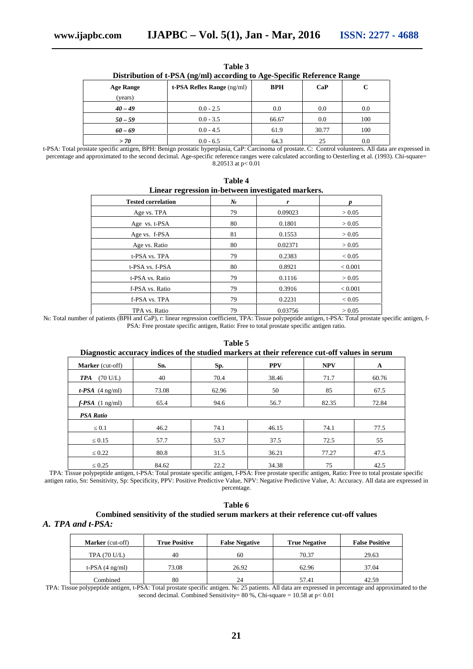| Distribution of t-PSA (ng/mi) according to Age-Specific Reference Range |                                 |            |       |     |  |  |
|-------------------------------------------------------------------------|---------------------------------|------------|-------|-----|--|--|
| <b>Age Range</b>                                                        | $t$ -PSA Reflex Range $(ng/ml)$ | <b>BPH</b> | CaP   |     |  |  |
| (years)                                                                 |                                 |            |       |     |  |  |
| $40 - 49$                                                               | $0.0 - 2.5$                     | 0.0        | 0.0   | 0.0 |  |  |
| $50 - 59$                                                               | $0.0 - 3.5$                     | 66.67      | 0.0   | 100 |  |  |
| $60 - 69$                                                               | $0.0 - 4.5$                     | 61.9       | 30.77 | 100 |  |  |
| > 70                                                                    | $0.0 - 6.5$                     | 64.3       | 25    | 0.0 |  |  |

t-PSA: Total prostate specific antigen, BPH: Benign prostatic hyperplasia, CaP: Carcinoma of prostate. C: Control volunteers. All data are expressed in percentage and approximated to the second decimal. Age-specific reference ranges were calculated according to Oesterling et al. (1993). Chi-square= 8.20513 at  $p < 0.01$ 

**Table 4**

| Linear regression in-between investigated markers. |    |         |                |  |  |
|----------------------------------------------------|----|---------|----------------|--|--|
| <b>Tested correlation</b>                          |    | r       |                |  |  |
| Age vs. TPA                                        | 79 | 0.09023 | > 0.05         |  |  |
| Age vs. t-PSA                                      | 80 | 0.1801  | > 0.05         |  |  |
| Age vs. f-PSA                                      | 81 | 0.1553  | > 0.05         |  |  |
| Age vs. Ratio                                      | 80 | 0.02371 | > 0.05         |  |  |
| t-PSA vs. TPA                                      | 79 | 0.2383  | ${}< 0.05$     |  |  |
| t-PSA vs. f-PSA                                    | 80 | 0.8921  | ${}_{< 0.001}$ |  |  |
| t-PSA vs. Ratio                                    | 79 | 0.1116  | > 0.05         |  |  |
| f-PSA vs. Ratio                                    | 79 | 0.3916  | ${}_{< 0.001}$ |  |  |
| f-PSA vs. TPA                                      | 79 | 0.2231  | ${}< 0.05$     |  |  |
| TPA vs. Ratio                                      | 79 | 0.03756 | > 0.05         |  |  |

**Table 3 Distribution of t-PSA (ng/ml) according to Age-Specific Reference Range**

№: Total number of patients (BPH and CaP), r: linear regression coefficient, TPA: Tissue polypeptide antigen, t-PSA: Total prostate specific antigen, f- PSA: Free prostate specific antigen, Ratio: Free to total prostate specific antigen ratio.

| Diagnostic accuracy indices of the studied markers at their reference cut-off values in serum |       |       |            |            |       |
|-----------------------------------------------------------------------------------------------|-------|-------|------------|------------|-------|
| <b>Marker</b> (cut-off)                                                                       | Sn.   | Sp.   | <b>PPV</b> | <b>NPV</b> | A     |
| $(70 \text{ U/L})$<br><b>TPA</b>                                                              | 40    | 70.4  | 38.46      | 71.7       | 60.76 |
| $t$ -PSA $(4 \text{ ng/ml})$                                                                  | 73.08 | 62.96 | 50         | 85         | 67.5  |
| $f$ -PSA $(1 \text{ ng/ml})$                                                                  | 65.4  | 94.6  | 56.7       | 82.35      | 72.84 |
| <b>PSA Ratio</b>                                                                              |       |       |            |            |       |
| 0.1                                                                                           | 46.2  | 74.1  | 46.15      | 74.1       | 77.5  |
| 0.15                                                                                          | 57.7  | 53.7  | 37.5       | 72.5       | 55    |
| 0.22                                                                                          | 80.8  | 31.5  | 36.21      | 77.27      | 47.5  |
| 0.25                                                                                          | 84.62 | 22.2  | 34.38      | 75         | 42.5  |

# **Table 5**

TPA: Tissue polypeptide antigen, t-PSA: Total prostate specific antigen, f-PSA: Free prostate specific antigen, Ratio: Free to total prostate specific antigen ratio, Sn: Sensitivity, Sp: Specificity, PPV: Positive Predictive Value, NPV: Negative Predictive Value, A: Accuracy. All data are expressed in percentage.

# **Table 6 Combined sensitivity of the studied serum markers at their reference cut-off values**

#### *A. TPA and t-PSA:*

| <b>Marker</b> (cut-off)   | <b>True Positive</b> | <b>False Negative</b> | <b>True Negative</b> | <b>False Positive</b> |
|---------------------------|----------------------|-----------------------|----------------------|-----------------------|
| <b>TPA (70 U/L)</b>       | 40                   | 60                    | 70.37                | 29.63                 |
| t-PSA $(4 \text{ ng/ml})$ | 73.08                | 26.92                 | 62.96                | 37.04                 |
| Combined                  | 80                   | 24                    | 57.41                | 42.59                 |

TPA: Tissue polypeptide antigen, t-PSA: Total prostate specific antigen.  $\therefore$  25 patients. All data are expressed in percentage and approximated to the second decimal. Combined Sensitivity=  $80\%$ , Chi-square =  $10.58$  at p<  $0.01$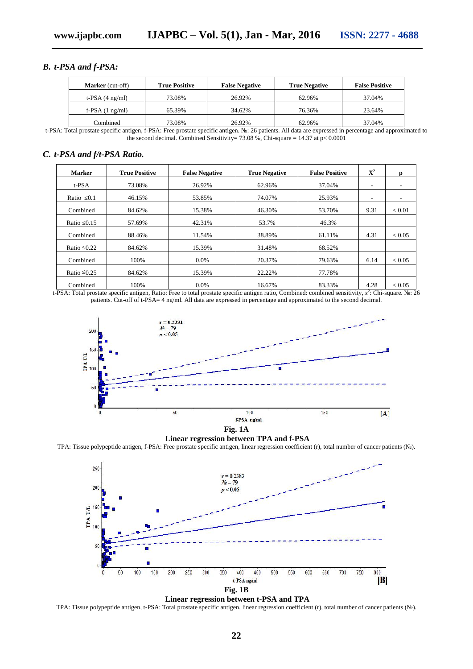# *B. t-PSA and f-PSA:*

| <b>Marker</b> (cut-off)   | <b>True Positive</b> | <b>False Negative</b> | <b>True Negative</b> | <b>False Positive</b> |
|---------------------------|----------------------|-----------------------|----------------------|-----------------------|
| t-PSA $(4 \text{ ng/ml})$ | 73.08%               | 26.92%                | 62.96%               | 37.04%                |
| f-PSA $(1 \text{ ng/ml})$ | 65.39%               | 34.62%                | 76.36%               | 23.64%                |
| Combined                  | 73.08%               | 26.92%                | 62.96%               | 37.04%                |

t-PSA: Total prostate specific antigen, f-PSA: Free prostate specific antigen. №: 26 patients. All data are expressed in percentage and approximated to the second decimal. Combined Sensitivity= 73.08 %, Chi-square = 14.37 at  $p < 0.0001$ 

# *C. t-PSA and f/t-PSA Ratio.*

| <b>Marker</b> | <b>True Positive</b> | <b>False Negative</b> | <b>True Negative</b> | <b>False Positive</b> | ${\bf X}^2$ |                          |
|---------------|----------------------|-----------------------|----------------------|-----------------------|-------------|--------------------------|
| t-PSA         | 73.08%               | 26.92%                | 62.96%               | 37.04%                | ۰           |                          |
| Ratio 0.1     | 46.15%               | 53.85%                | 74.07%               | 25.93%                | ۰           | $\overline{\phantom{a}}$ |
| Combined      | 84.62%               | 15.38%                | 46.30%               | 53.70%                | 9.31        | ${}_{< 0.01}$            |
| Ratio 0.15    | 57.69%               | 42.31%                | 53.7%                | 46.3%                 |             |                          |
| Combined      | 88.46%               | 11.54%                | 38.89%               | 61.11%                | 4.31        | ${}< 0.05$               |
| Ratio 0.22    | 84.62%               | 15.39%                | 31.48%               | 68.52%                |             |                          |
| Combined      | 100%                 | $0.0\%$               | 20.37%               | 79.63%                | 6.14        | ${}< 0.05$               |
| Ratio 0.25    | 84.62%               | 15.39%                | 22.22%               | 77.78%                |             |                          |
| Combined      | 100%                 | $0.0\%$               | 16.67%               | 83.33%                | 4.28        | < 0.05                   |

t-PSA: Total prostate specific antigen, Ratio: Free to total prostate specific antigen ratio, Combined: combined sensitivity, *x* 2 : Chi-square. №: 26 patients. Cut-off of t-PSA= 4 ng/ml. All data are expressed in percentage and approximated to the second decimal.



**Fig. 1A**

**Linear regression between TPA and f-PSA** TPA: Tissue polypeptide antigen, f-PSA: Free prostate specific antigen, linear regression coefficient (r), total number of cancer patients ().





TPA: Tissue polypeptide antigen, t-PSA: Total prostate specific antigen, linear regression coefficient (r), total number of cancer patients ().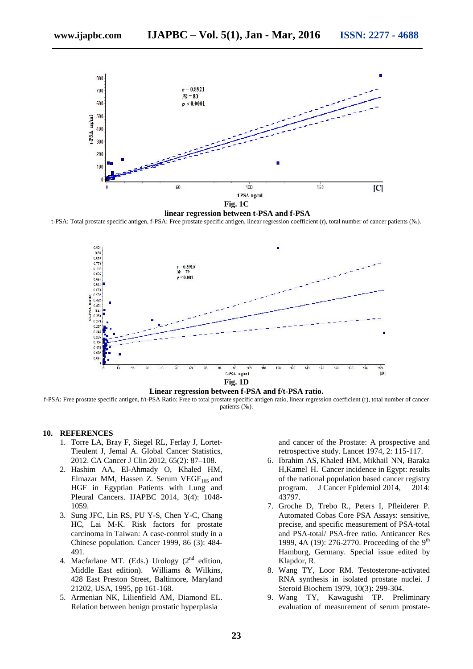

**linear regression between t-PSA and f-PSA**

t-PSA: Total prostate specific antigen, f-PSA: Free prostate specific antigen, linear regression coefficient (r), total number of cancer patients (№).



**Linear regression between f-PSA and f/t-PSA ratio.**

f-PSA: Free prostate specific antigen, f/t-PSA Ratio: Free to total prostate specific antigen ratio, linear regression coefficient (r), total number of cancer patients ( $\Box$ ).

#### **10. REFERENCES**

- 1. Torre LA, Bray F, Siegel RL, Ferlay J, Lortet- Tieulent J, Jemal A. Global Cancer Statistics, 2012. CA Cancer J Clin 2012, 65(2): 87–108.
- 2. Hashim AA, El-Ahmady O, Khaled HM, Elmazar MM, Hassen Z. Serum VEGF $_{165}$  and HGF in Egyptian Patients with Lung and Pleural Cancers. IJAPBC 2014, 3(4): 1048- 1059.
- 3. Sung JFC, Lin RS, PU Y-S, Chen Y-C, Chang HC, Lai M-K. Risk factors for prostate carcinoma in Taiwan: A case-control study in a Chinese population. Cancer 1999, 86 (3): 484- 491.
- 4. Macfarlane MT. (Eds.) Urology  $(2<sup>nd</sup>$  edition, Middle East edition). Williams & Wilkins, 428 East Preston Street, Baltimore, Maryland 21202, USA, 1995, pp 161-168.
- 5. Armenian NK, Lilienfield AM, Diamond EL. Relation between benign prostatic hyperplasia

and cancer of the Prostate: A prospective and retrospective study. Lancet 1974, 2: 115-117.

- 6. Ibrahim AS, Khaled HM, Mikhail NN, Baraka H,Kamel H. Cancer incidence in Egypt: results of the national population based cancer registry program. J Cancer Epidemiol 2014, 2014: 43797.
- 7. Groche D, Trebo R., Peters I, Pfleiderer P. Automated Cobas Core PSA Assays: sensitive, precise, and specific measurement of PSA-total and PSA-total/ PSA-free ratio. Anticancer Res 1999, 4A (19): 276-2770. Proceeding of the 9<sup>th</sup> Hamburg, Germany. Special issue edited by Klapdor, R.
- 8. Wang TY, Loor RM. Testosterone-activated RNA synthesis in isolated prostate nuclei. J Steroid Biochem 1979, 10(3): 299-304.
- 9. Wang TY, Kawagushi TP. Preliminary evaluation of measurement of serum prostate-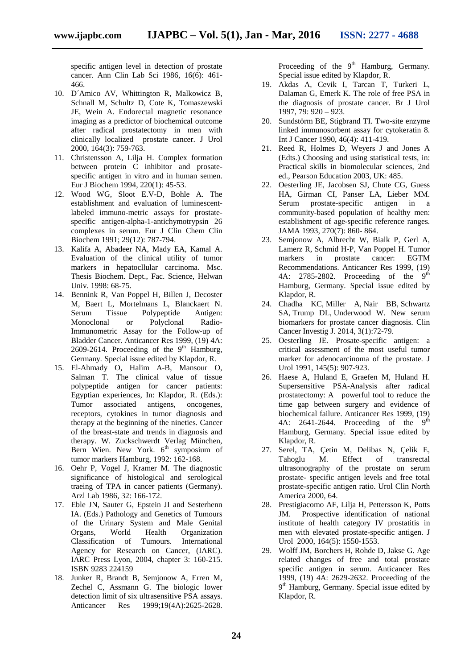specific antigen level in detection of prostate cancer. Ann Clin Lab Sci 1986, 16(6): 461- 466.

- 10. D´Amico AV, Whittington R, Malkowicz B, Schnall M, Schultz D, Cote K, Tomaszewski JE, Wein A. Endorectal magnetic resonance imaging as a predictor of biochemical outcome after radical prostatectomy in men with clinically localized prostate cancer. J Urol 2000, 164(3): 759-763.
- 11. Christensson A, Lilja H. Complex formation between protein C inhibitor and prosate specific antigen in vitro and in human semen. Eur J Biochem 1994, 220(1): 45-53.
- 12. Wood WG, Sloot E.V-D, Bohle A. The establishment and evaluation of luminescentlabeled immuno-metric assays for prostate specific antigen-alpha-1-antichymotrypsin 26 complexes in serum. Eur J Clin Chem Clin Biochem 1991; 29(12): 787-794.
- 13. Kalifa A, Abadeer NA, Mady EA, Kamal A. Evaluation of the clinical utility of tumor markers in hepatocllular carcinoma. Msc. Thesis Biochem. Dept., Fac. Science, Helwan Univ. 1998: 68-75.
- 14. Bennink R, Van Poppel H, Billen J, Decoster M, Baert L, Mortelmans L, Blanckaert N. Serum Tissue Polypeptide Antigen: Monoclonal or Polyclonal Radio-Immunometric Assay for the Follow-up of Bladder Cancer. Anticancer Res 1999, (19) 4A: 2609-2614. Proceeding of the  $9<sup>th</sup>$  Hamburg, Germany. Special issue edited by Klapdor, R.
- 15. El-Ahmady O, Halim A-B, Mansour O, Salman T. The clinical value of tissue polypeptide antigen for cancer patients: Egyptian experiences, In: Klapdor, R. (Eds.): Tumor associated antigens, oncogenes, receptors, cytokines in tumor diagnosis and therapy at the beginning of the nineties. Cancer of the breast-state and trends in diagnosis and therapy. W. Zuckschwerdt Verlag München, Bern Wien. New York.  $6<sup>th</sup>$  symposium of tumor markers Hamburg, 1992: 162-168.
- 16. Oehr P, Vogel J, Kramer M. The diagnostic significance of histological and serological traeing of TPA in cancer patients (Germany). Arzl Lab 1986, 32: 166-172.
- 17. Eble JN, Sauter G, Epstein JI and Sesterhenn IA. (Eds.) Pathology and Genetics of Tumours of the Urinary System and Male Genital Organs, World Health Organization Classification of Tumours. International Agency for Research on Cancer, (IARC). IARC Press Lyon, 2004, chapter 3: 160-215. ISBN 9283 224159
- 18. Junker R, Brandt B, Semjonow A, Erren M, Zechel C, Assmann G. The biologic lower detection limit of six ultrasensitive PSA assays. Anticancer Res 1999;19(4A):2625-2628.

Proceeding of the  $9<sup>th</sup>$  Hamburg, Germany. Special issue edited by Klapdor, R.

- 19. Akdas A, Cevik I, Tarcan T, Turkeri L, Dalaman G, Emerk K. The role of free PSA in the diagnosis of prostate cancer. Br J Urol 1997, 79: 920 – 923.
- 20. Sundstörm BE, Stigbrand TI. Two-site enzyme linked immunosorbent assay for cytokeratin 8. Int J Cancer 1990, 46(4): 411-419.
- 21. Reed R, Holmes D, Weyers J and Jones A (Edts.) Choosing and using statistical tests, in: Practical skills in biomolecular sciences, 2nd ed., Pearson Education 2003, UK: 485.
- 22. Oesterling JE, Jacobsen SJ, Chute CG, Guess HA, Girman CI, Panser LA, Lieber MM. Serum prostate-specific antigen in a community-based population of healthy men: establishment of age-specific reference ranges. JAMA 1993, 270(7): 860- 864.
- 23. Semjonow A, Albrecht W, Bialk P, Gerl A, Lamerz R, Schmid H-P, Van Poppel H. Tumor markers in prostate cancer: EGTM Recommendations. Anticancer Res 1999, (19) 4A: 2785-2802. Proceeding of the  $9<sup>th</sup>$ Hamburg, Germany. Special issue edited by Klapdor, R.
- 24. Chadha KC, Miller A, Nair BB, Schwartz SA, Trump DL, Underwood W. New serum biomarkers for prostate cancer diagnosis. Clin Cancer Investig J. 2014, 3(1):72-79.
- 25. Oesterling JE. Prosate-specific antigen: a critical assessment of the most useful tumor marker for adenocarcinoma of the prostate. J Urol 1991, 145(5): 907-923.
- 26. Haese A, Huland E, Graefen M, Huland H. Supersensitive PSA-Analysis after radical prostatectomy: A powerful tool to reduce the time gap between surgery and evidence of biochemical failure. Anticancer Res 1999, (19) 4A: 2641-2644. Proceeding of the  $9<sup>th</sup>$ Hamburg, Germany. Special issue edited by Klapdor, R.
- 27. Serel, TA, Çetin M, Delibas N, Çelik E, Tahoglu M. Effect of transrectal ultrasonography of the prostate on serum prostate- specific antigen levels and free total prostate-specific antigen ratio. Urol Clin North America 2000, 64.
- 28. Prestigiacomo AF, Lilja H, Pettersson K, Potts JM. Prospective identification of national institute of health category IV prostatitis in men with elevated prostate-specific antigen. J Urol 2000, 164(5): 1550-1553.
- 29. Wolff JM, Borchers H, Rohde D, Jakse G. Age related changes of free and total prostate specific antigen in serum. Anticancer Res 1999, (19) 4A: 2629-2632. Proceeding of the 9 th Hamburg, Germany. Special issue edited by Klapdor, R.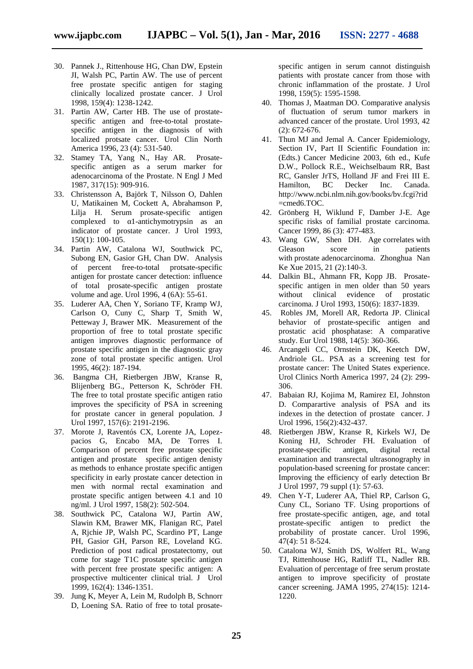- 30. Pannek J., Rittenhouse HG, Chan DW, Epstein JI, Walsh PC, Partin AW. The use of percent free prostate specific antigen for staging clinically localized prostate cancer. J Urol 1998, 159(4): 1238-1242.
- 31. Partin AW, Carter HB. The use of prostate specific antigen and free-to-total prostate specific antigen in the diagnosis of with localized protsate cancer. Urol Clin North America 1996, 23 (4): 531-540.
- 32. Stamey TA, Yang N., Hay AR. Prosate specific antigen as a serum marker for adenocarcinoma of the Prostate. N Engl J Med 1987, 317(15): 909-916.
- 33. Christensson A, Bajörk T, Nilsson O, Dahlen U, Matikainen M, Cockett A, Abrahamson P, Lilja H. Serum prosate-specific antigen complexed to 1-antichymotrypsin as an indicator of prostate cancer. J Urol 1993, 150(1): 100-105.
- 34. Partin AW, Catalona WJ, Southwick PC, Subong EN, Gasior GH, Chan DW. Analysis of percent free-to-total protsate-specific antigen for prostate cancer detection: influence of total prosate-specific antigen prostate volume and age. Urol 1996, 4 (6A): 55-61.
- 35. Luderer AA, Chen Y, Soriano TF, Kramp WJ, Carlson O, Cuny C, Sharp T, Smith W, Petteway J, Brawer MK. Measurement of the proportion of free to total prostate specific antigen improves diagnostic performance of prostate specific antigen in the diagnostic gray zone of total prostate specific antigen. Urol 1995, 46(2): 187-194.
- 36. Bangma CH, Rietbergen JBW, Kranse R, Blijenberg BG., Petterson K, Schröder FH. The free to total prostate specific antigen ratio improves the specificity of PSA in screening for prostate cancer in general population. J Urol 1997, 157(6): 2191-2196.
- 37. Morote J, Raventós CX, Lorente JA, Lopez pacios G, Encabo MA, De Torres I. Comparison of percent free prostate specific antigen and prostate specific antigen denisty as methods to enhance prostate specific antigen specificity in early prostate cancer detection in men with normal rectal examination and prostate specific antigen between 4.1 and 10 ng/ml. J Urol 1997, 158(2): 502-504.
- 38. Southwick PC, Catalona WJ, Partin AW, Slawin KM, Brawer MK, Flanigan RC, Patel A, Rjchie JP, Walsh PC, Scardino PT, Lange PH, Gasior GH, Parson RE, Loveland KG. Prediction of post radical prostatectomy, out come for stage T1C prostate specific antigen with percent free prostate specific antigen: A prospective multicenter clinical trial. J Urol 1999, 162(4): 1346-1351.
- 39. Jung K, Meyer A, Lein M, Rudolph B, Schnorr D, Loening SA. Ratio of free to total prosate-

specific antigen in serum cannot distinguish patients with prostate cancer from those with chronic inflammation of the prostate. J Urol 1998, 159(5): 1595-1598.

- 40. Thomas J, Maatman DO. Comparative analysis of fluctuation of serum tumor markers in advanced cancer of the prostate. Urol 1993, 42 (2): 672-676.
- 41. Thun MJ and Jemal A. Cancer Epidemiology, Section IV, Part II Scientific Foundation in: (Edts.) Cancer Medicine 2003, 6th ed., Kufe D.W., Pollock R.E., Weichselbaum RR, Bast RC, Gansler JrTS, Holland JF and Frei III E. Hamilton, BC Decker Inc. Canada. http://www.ncbi.nlm.nih.gov/books/bv.fcgi?rid =cmed6.TOC.
- 42. Grönberg H, Wiklund F, Damber J-E. Age specific risks of familial prostate carcinoma. Cancer 1999, 86 (3): 477-483.
- 43. Wang GW, Shen DH. Age correlates with Gleason score in patients with prostate adenocarcinoma. Zhonghua Nan Ke Xue 2015, 21 (2):140-3.
- 44. Dalkin BL, Ahmann FR, Kopp JB. Prosate specific antigen in men older than 50 years without clinical evidence of prostatic carcinoma. J Urol 1993, 150(6): 1837-1839.
- 45. Robles JM, Morell AR, Redorta JP. Clinical behavior of prostate-specific antigen and prostatic acid phosphatase: A comparative study. Eur Urol 1988, 14(5): 360-366.
- 46. Arcangeli CC, Ornstein DK, Keetch DW, Andriole GL. PSA as a screening test for prostate cancer: The United States experience. Urol Clinics North America 1997, 24 (2): 299- 306.
- 47. Babaian RJ, Kojima M, Ramirez EI, Johnston D. Comparartive analysis of PSA and its indexes in the detection of prostate cancer. J Urol 1996, 156(2):432-437.
- 48. Rietbergen JBW, Kranse R, Kirkels WJ, De Koning HJ, Schroder FH. Evaluation of prostate-specific antigen, digital rectal examination and transrectal ultrasonography in population-based screening for prostate cancer: Improving the efficiency of early detection Br J Urol 1997, 79 suppl (1): 57-63.
- 49. Chen Y-T, Luderer AA, Thiel RP, Carlson G, Cuny CL, Soriano TF. Using proportions of free prostate-specific antigen, age, and total prostate-specific antigen to predict the probability of prostate cancer. Urol 1996, 47(4): 51 8-524.
- 50. Catalona WJ, Smith DS, Wolfert RL, Wang TJ, Rittenhouse HG, Ratliff TL, Nadler RB. Evaluation of percentage of free serum prostate antigen to improve specificity of prostate cancer screening. JAMA 1995, 274(15): 1214- 1220.